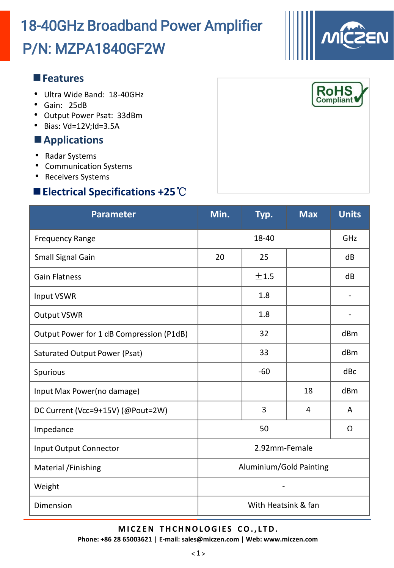# P/N: MZPA1840GF2W 18-40GHz Broadband Power Amplifier

### **Features**

- Ultra Wide Band: 18-40GHz
- Gain: 25dB
- Output Power Psat: 33dBm
- Bias: Vd=12V;Id=3.5A

### **Applications**

- Radar Systems
- Communication Systems
- Receivers Systems

## **Electrical Specifications +25**℃

| <b>Parameter</b>                         | Min.                    | Typ.  | <b>Max</b> | <b>Units</b> |  |
|------------------------------------------|-------------------------|-------|------------|--------------|--|
| <b>Frequency Range</b>                   | 18-40                   |       |            | GHZ          |  |
| Small Signal Gain                        | 20                      | 25    |            | dB           |  |
| <b>Gain Flatness</b>                     |                         | ±1.5  |            | dB           |  |
| Input VSWR                               |                         | 1.8   |            |              |  |
| <b>Output VSWR</b>                       |                         | 1.8   |            |              |  |
| Output Power for 1 dB Compression (P1dB) |                         | 32    |            | dBm          |  |
| Saturated Output Power (Psat)            |                         | 33    |            | dBm          |  |
| Spurious                                 |                         | $-60$ |            | dBc          |  |
| Input Max Power(no damage)               |                         |       | 18         | dBm          |  |
| DC Current (Vcc=9+15V) (@Pout=2W)        |                         | 3     | 4          | A            |  |
| Impedance                                | 50                      |       |            | Ω            |  |
| <b>Input Output Connector</b>            | 2.92mm-Female           |       |            |              |  |
| Material /Finishing                      | Aluminium/Gold Painting |       |            |              |  |
| Weight                                   |                         |       |            |              |  |
| Dimension                                | With Heatsink & fan     |       |            |              |  |